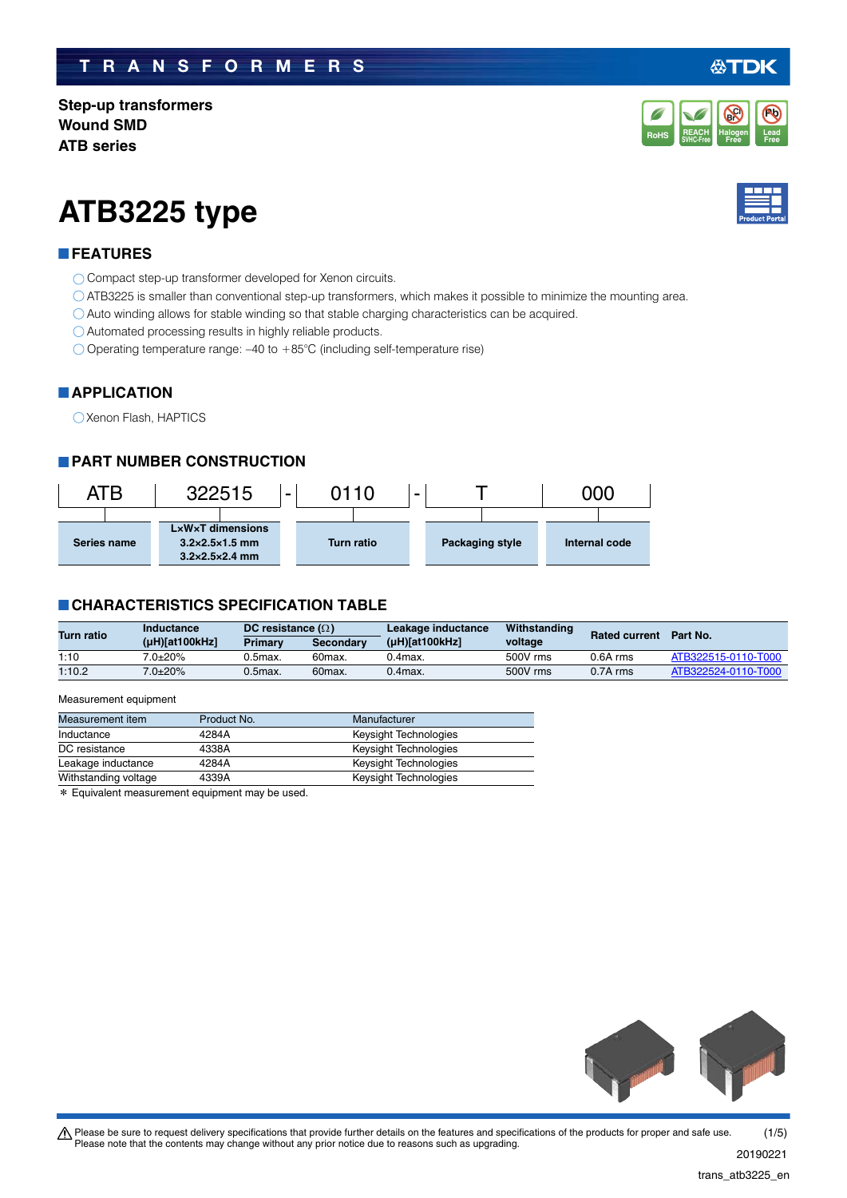# **TRANSFORMERS**

**Step-up transformers Wound SMD ATB series**

# **ATB3225 type**

## **FEATURES**

- O Compact step-up transformer developed for Xenon circuits.
- ATB3225 is smaller than conventional step-up transformers, which makes it possible to minimize the mounting area.
- Auto winding allows for stable winding so that stable charging characteristics can be acquired.
- Automated processing results in highly reliable products.
- Operating temperature range: –40 to +85°C (including self-temperature rise)

# **APPLICATION**

Xenon Flash, HAPTICS

# **PART NUMBER CONSTRUCTION**

| ATB         | 322515                                                                                           | 2110<br>$\sim$    | -               | ጋ00           |
|-------------|--------------------------------------------------------------------------------------------------|-------------------|-----------------|---------------|
| Series name | $L \times W \times T$ dimensions<br>$3.2\times2.5\times1.5$ mm<br>$3.2 \times 2.5 \times 2.4$ mm | <b>Turn ratio</b> | Packaging style | Internal code |

## **CHARACTERISTICS SPECIFICATION TABLE**

| <b>Turn ratio</b> | Inductance     | DC resistance $(\Omega)$ |                     | Leakage inductance  | Withstanding | <b>Rated current</b> | Part No.            |
|-------------------|----------------|--------------------------|---------------------|---------------------|--------------|----------------------|---------------------|
|                   | (µH)[at100kHz] | <b>Primary</b>           | <b>Secondary</b>    | $(\mu H)[at100kHz]$ | voltage      |                      |                     |
| 1:10              | $7.0{\pm}20\%$ | $0.5$ max.               | 60max.              | 0.4max.             | 500V rms     | $0.6A$ rms           | ATB322515-0110-T000 |
| 1:10.2            | $7.0 + 20\%$   | $0.5$ max.               | 60 <sub>max</sub> . | $0.4$ max.          | 500V rms     | $0.7A$ rms           | ATB322524-0110-T000 |

#### Measurement equipment

| Measurement item     | Product No. | Manufacturer                 |
|----------------------|-------------|------------------------------|
| Inductance           | 4284A       | Keysight Technologies        |
| DC resistance        | 4338A       | Keysight Technologies        |
| Leakage inductance   | 4284A       | Keysight Technologies        |
| Withstanding voltage | 4339A       | <b>Keysight Technologies</b> |
| .                    |             |                              |

\* Equivalent measurement equipment may be used.



#### **Pb Br Cl**

**REACH** Halogen Lead<br>SVHC-Free Free Free **RoHS** SVHC-Free **Free Free** 

**Halogen Free**

**REACH**



'DK

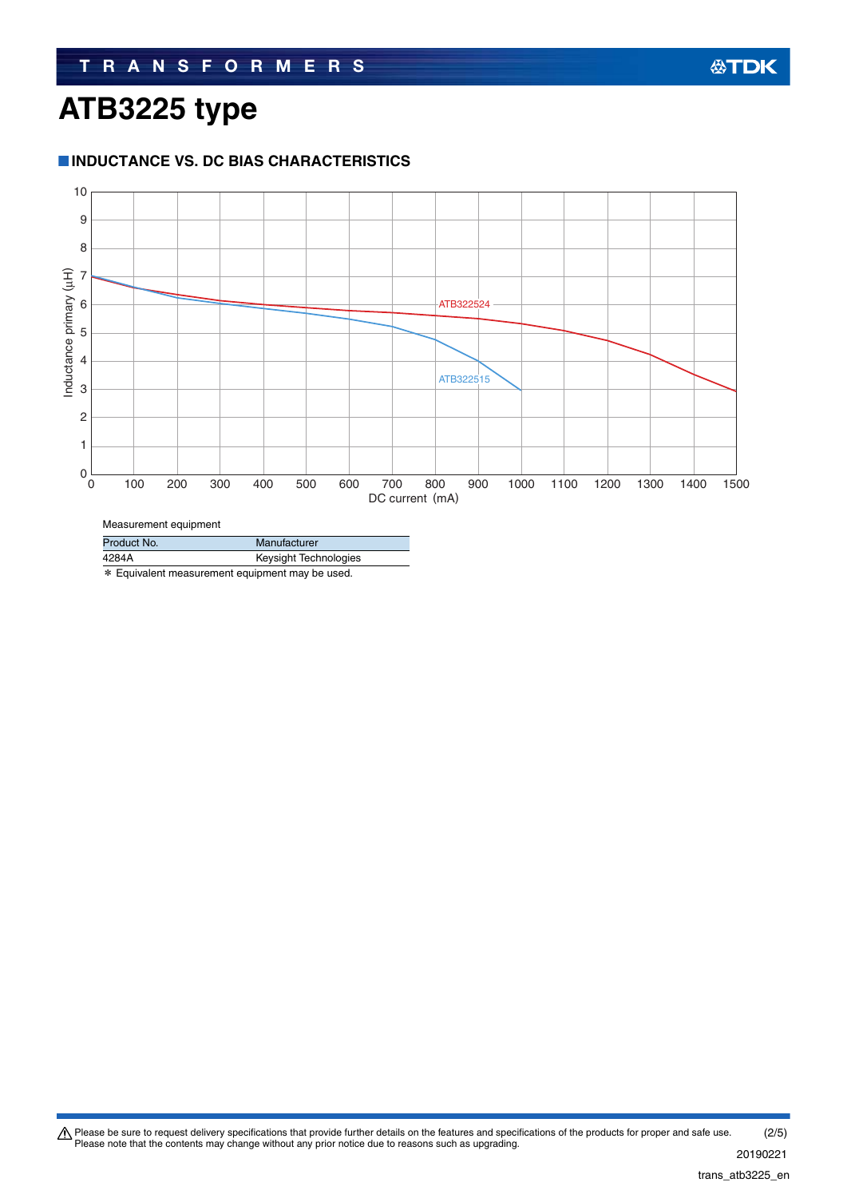# **ATB3225 type**

### **INDUCTANCE VS. DC BIAS CHARACTERISTICS**



| Product No. | Manufacturer          |
|-------------|-----------------------|
| 4284A       | Keysight Technologies |
|             |                       |

\* Equivalent measurement equipment may be used.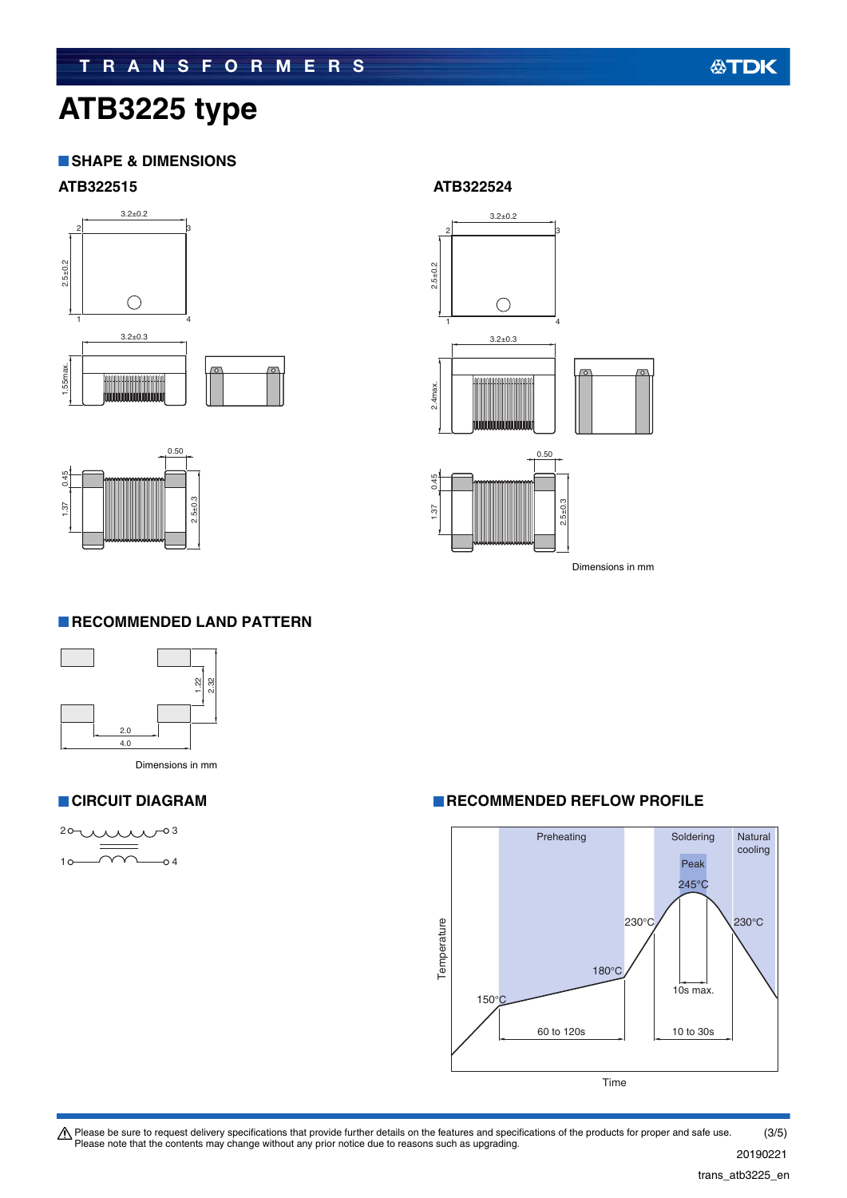# **ATB3225 type**

### **SHAPE & DIMENSIONS**





#### **ATB322515 ATB322524**



Dimensions in mm

#### **RECOMMENDED LAND PATTERN**





#### **CIRCUIT DIAGRAM RECOMMENDED REFLOW PROFILE**



Please be sure to request delivery specifications that provide further details on the features and specifications of the products for proper and safe use.<br>Please note that the contents may change without any prior notice d (3/5)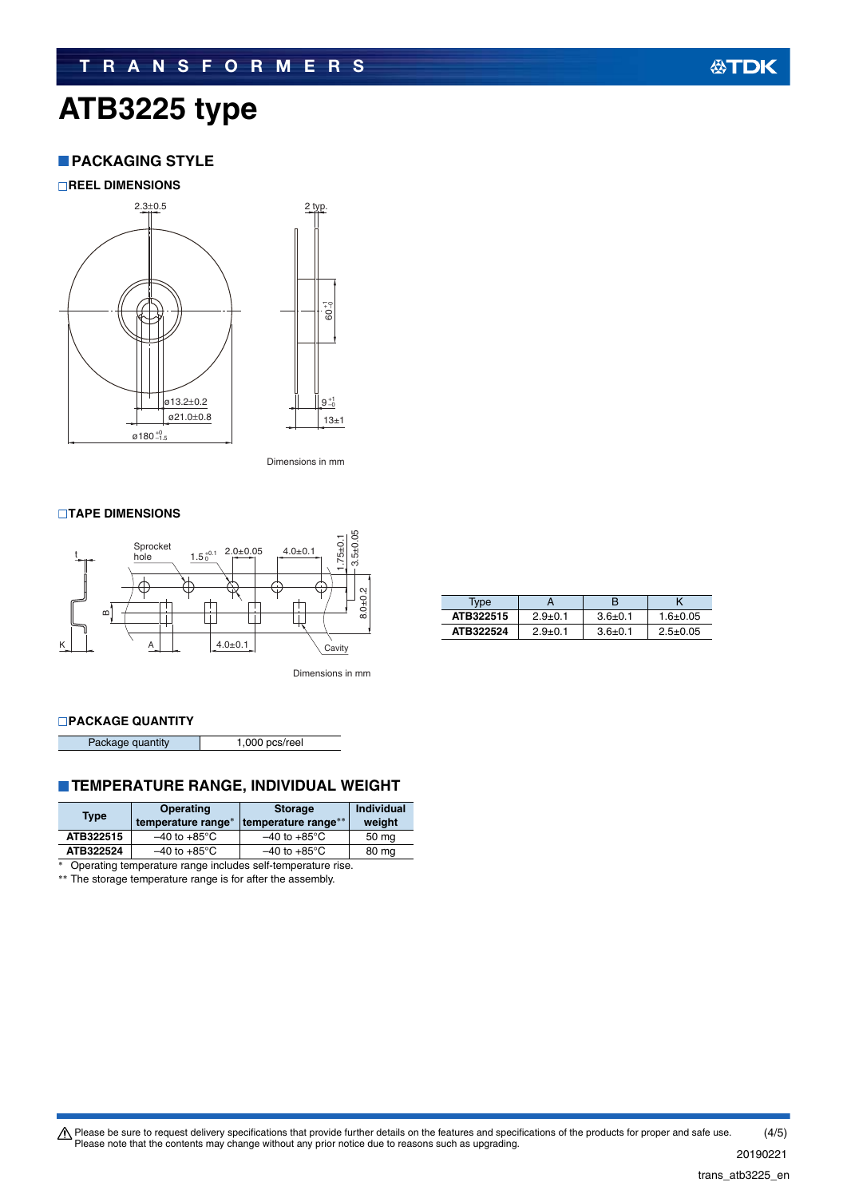# **TRANSFORMERS**

# **ATB3225 type**

## **PACKAGING STYLE**

**REEL DIMENSIONS**



Dimensions in mm

#### **TAPE DIMENSIONS**



| Type      |             |             |                |
|-----------|-------------|-------------|----------------|
| ATB322515 | $2.9 + 0.1$ | $3.6 + 0.1$ | $1.6 + 0.05$   |
| ATB322524 | $2.9 + 0.1$ | $3.6 + 0.1$ | $2.5 \pm 0.05$ |

Dimensions in mm

#### **PACKAGE QUANTITY**

Package quantity 1,000 pcs/reel

## **TEMPERATURE RANGE, INDIVIDUAL WEIGHT**

| <b>Type</b> | <b>Operating</b><br>temperature range* | <b>Storage</b><br>temperature range** | <b>Individual</b><br>weight |
|-------------|----------------------------------------|---------------------------------------|-----------------------------|
| ATB322515   | $-40$ to $+85^{\circ}$ C               | $-40$ to $+85^{\circ}$ C              | 50 mg                       |
| ATB322524   | $-40$ to $+85^{\circ}$ C               | $-40$ to $+85^{\circ}$ C              | 80 mg                       |

\* Operating temperature range includes self-temperature rise.

\*\* The storage temperature range is for after the assembly.